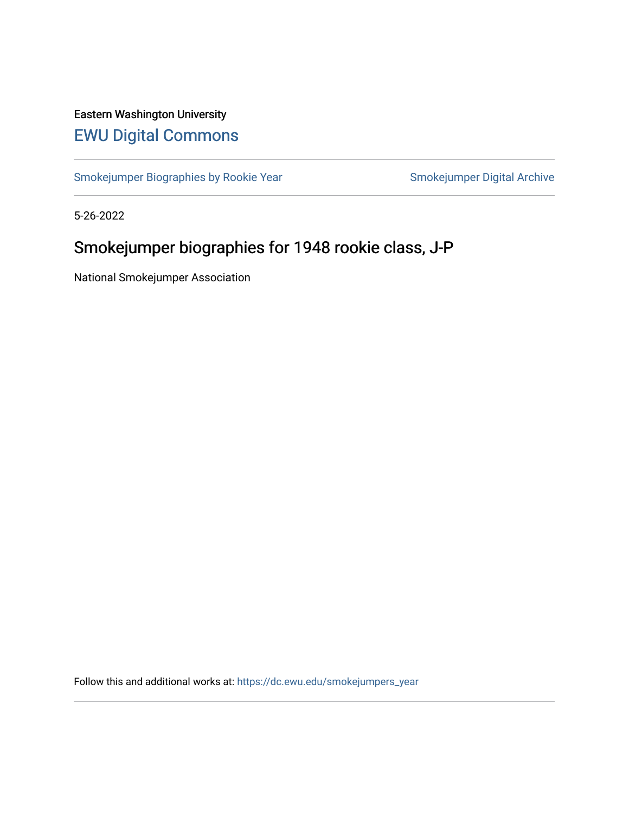# Eastern Washington University [EWU Digital Commons](https://dc.ewu.edu/)

[Smokejumper Biographies by Rookie Year](https://dc.ewu.edu/smokejumpers_year) Smokejumper Digital Archive

5-26-2022

# Smokejumper biographies for 1948 rookie class, J-P

National Smokejumper Association

Follow this and additional works at: [https://dc.ewu.edu/smokejumpers\\_year](https://dc.ewu.edu/smokejumpers_year?utm_source=dc.ewu.edu%2Fsmokejumpers_year%2F18&utm_medium=PDF&utm_campaign=PDFCoverPages)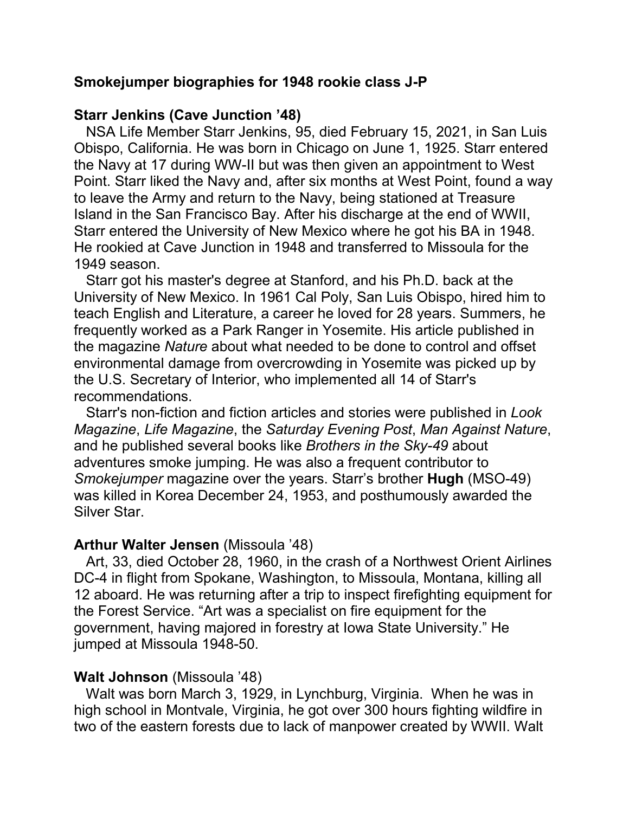#### **Smokejumper biographies for 1948 rookie class J-P**

#### **Starr Jenkins (Cave Junction '48)**

NSA Life Member Starr Jenkins, 95, died February 15, 2021, in San Luis Obispo, California. He was born in Chicago on June 1, 1925. Starr entered the Navy at 17 during WW-II but was then given an appointment to West Point. Starr liked the Navy and, after six months at West Point, found a way to leave the Army and return to the Navy, being stationed at Treasure Island in the San Francisco Bay. After his discharge at the end of WWII, Starr entered the University of New Mexico where he got his BA in 1948. He rookied at Cave Junction in 1948 and transferred to Missoula for the 1949 season.

 Starr got his master's degree at Stanford, and his Ph.D. back at the University of New Mexico. In 1961 Cal Poly, San Luis Obispo, hired him to teach English and Literature, a career he loved for 28 years. Summers, he frequently worked as a Park Ranger in Yosemite. His article published in the magazine *Nature* about what needed to be done to control and offset environmental damage from overcrowding in Yosemite was picked up by the U.S. Secretary of Interior, who implemented all 14 of Starr's recommendations.

 Starr's non-fiction and fiction articles and stories were published in *Look Magazine*, *Life Magazine*, the *Saturday Evening Post*, *Man Against Nature*, and he published several books like *Brothers in the Sky-49* about adventures smoke jumping. He was also a frequent contributor to *Smokejumper* magazine over the years. Starr's brother **Hugh** (MSO-49) was killed in Korea December 24, 1953, and posthumously awarded the Silver Star.

#### **Arthur Walter Jensen** (Missoula '48)

 Art, 33, died October 28, 1960, in the crash of a Northwest Orient Airlines DC-4 in flight from Spokane, Washington, to Missoula, Montana, killing all 12 aboard. He was returning after a trip to inspect firefighting equipment for the Forest Service. "Art was a specialist on fire equipment for the government, having majored in forestry at Iowa State University." He jumped at Missoula 1948-50.

### **Walt Johnson** (Missoula '48)

 Walt was born March 3, 1929, in Lynchburg, Virginia. When he was in high school in Montvale, Virginia, he got over 300 hours fighting wildfire in two of the eastern forests due to lack of manpower created by WWII. Walt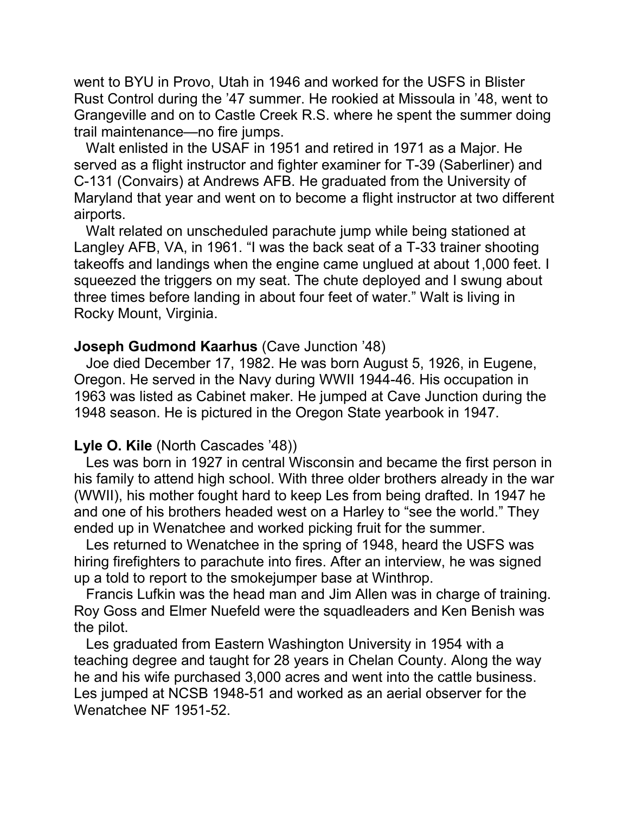went to BYU in Provo, Utah in 1946 and worked for the USFS in Blister Rust Control during the '47 summer. He rookied at Missoula in '48, went to Grangeville and on to Castle Creek R.S. where he spent the summer doing trail maintenance—no fire jumps.

 Walt enlisted in the USAF in 1951 and retired in 1971 as a Major. He served as a flight instructor and fighter examiner for T-39 (Saberliner) and C-131 (Convairs) at Andrews AFB. He graduated from the University of Maryland that year and went on to become a flight instructor at two different airports.

 Walt related on unscheduled parachute jump while being stationed at Langley AFB, VA, in 1961. "I was the back seat of a T-33 trainer shooting takeoffs and landings when the engine came unglued at about 1,000 feet. I squeezed the triggers on my seat. The chute deployed and I swung about three times before landing in about four feet of water." Walt is living in Rocky Mount, Virginia.

#### **Joseph Gudmond Kaarhus** (Cave Junction '48)

 Joe died December 17, 1982. He was born August 5, 1926, in Eugene, Oregon. He served in the Navy during WWII 1944-46. His occupation in 1963 was listed as Cabinet maker. He jumped at Cave Junction during the 1948 season. He is pictured in the Oregon State yearbook in 1947.

#### **Lyle O. Kile** (North Cascades '48))

 Les was born in 1927 in central Wisconsin and became the first person in his family to attend high school. With three older brothers already in the war (WWII), his mother fought hard to keep Les from being drafted. In 1947 he and one of his brothers headed west on a Harley to "see the world." They ended up in Wenatchee and worked picking fruit for the summer.

 Les returned to Wenatchee in the spring of 1948, heard the USFS was hiring firefighters to parachute into fires. After an interview, he was signed up a told to report to the smokejumper base at Winthrop.

 Francis Lufkin was the head man and Jim Allen was in charge of training. Roy Goss and Elmer Nuefeld were the squadleaders and Ken Benish was the pilot.

 Les graduated from Eastern Washington University in 1954 with a teaching degree and taught for 28 years in Chelan County. Along the way he and his wife purchased 3,000 acres and went into the cattle business. Les jumped at NCSB 1948-51 and worked as an aerial observer for the Wenatchee NF 1951-52.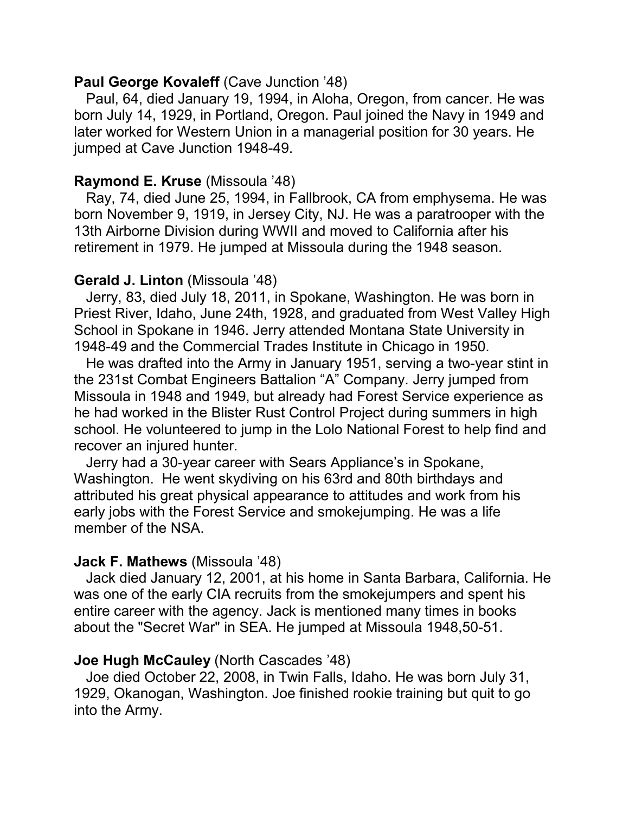### **Paul George Kovaleff** (Cave Junction '48)

 Paul, 64, died January 19, 1994, in Aloha, Oregon, from cancer. He was born July 14, 1929, in Portland, Oregon. Paul joined the Navy in 1949 and later worked for Western Union in a managerial position for 30 years. He jumped at Cave Junction 1948-49.

## **Raymond E. Kruse** (Missoula '48)

 Ray, 74, died June 25, 1994, in Fallbrook, CA from emphysema. He was born November 9, 1919, in Jersey City, NJ. He was a paratrooper with the 13th Airborne Division during WWII and moved to California after his retirement in 1979. He jumped at Missoula during the 1948 season.

## **Gerald J. Linton** (Missoula '48)

 Jerry, 83, died July 18, 2011, in Spokane, Washington. He was born in Priest River, Idaho, June 24th, 1928, and graduated from West Valley High School in Spokane in 1946. Jerry attended Montana State University in 1948-49 and the Commercial Trades Institute in Chicago in 1950.

 He was drafted into the Army in January 1951, serving a two-year stint in the 231st Combat Engineers Battalion "A" Company. Jerry jumped from Missoula in 1948 and 1949, but already had Forest Service experience as he had worked in the Blister Rust Control Project during summers in high school. He volunteered to jump in the Lolo National Forest to help find and recover an injured hunter.

 Jerry had a 30-year career with Sears Appliance's in Spokane, Washington. He went skydiving on his 63rd and 80th birthdays and attributed his great physical appearance to attitudes and work from his early jobs with the Forest Service and smokejumping. He was a life member of the NSA.

## **Jack F. Mathews** (Missoula '48)

 Jack died January 12, 2001, at his home in Santa Barbara, California. He was one of the early CIA recruits from the smokejumpers and spent his entire career with the agency. Jack is mentioned many times in books about the "Secret War" in SEA. He jumped at Missoula 1948,50-51.

## **Joe Hugh McCauley** (North Cascades '48)

 Joe died October 22, 2008, in Twin Falls, Idaho. He was born July 31, 1929, Okanogan, Washington. Joe finished rookie training but quit to go into the Army.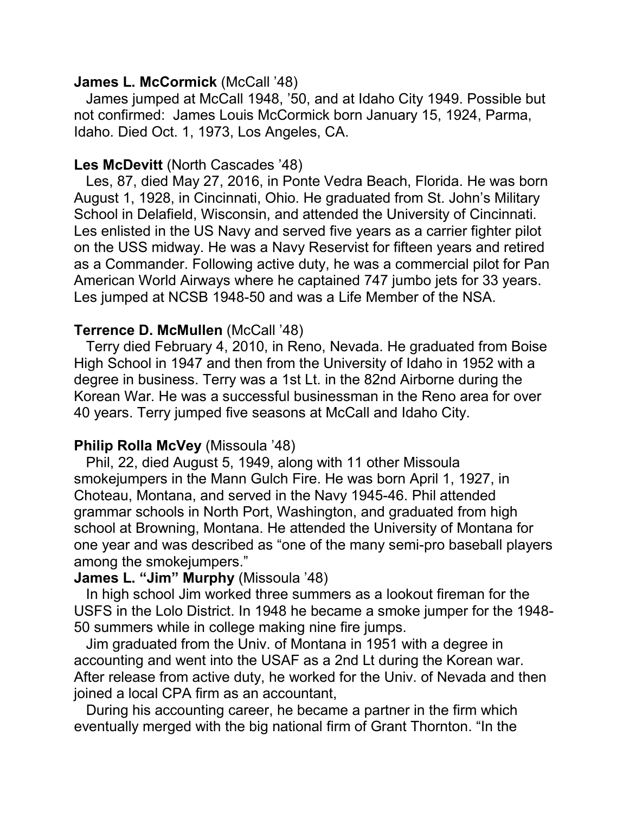### **James L. McCormick** (McCall '48)

 James jumped at McCall 1948, '50, and at Idaho City 1949. Possible but not confirmed: James Louis McCormick born January 15, 1924, Parma, Idaho. Died Oct. 1, 1973, Los Angeles, CA.

# **Les McDevitt** (North Cascades '48)

 Les, 87, died May 27, 2016, in Ponte Vedra Beach, Florida. He was born August 1, 1928, in Cincinnati, Ohio. He graduated from St. John's Military School in Delafield, Wisconsin, and attended the University of Cincinnati. Les enlisted in the US Navy and served five years as a carrier fighter pilot on the USS midway. He was a Navy Reservist for fifteen years and retired as a Commander. Following active duty, he was a commercial pilot for Pan American World Airways where he captained 747 jumbo jets for 33 years. Les jumped at NCSB 1948-50 and was a Life Member of the NSA.

# **Terrence D. McMullen** (McCall '48)

 Terry died February 4, 2010, in Reno, Nevada. He graduated from Boise High School in 1947 and then from the University of Idaho in 1952 with a degree in business. Terry was a 1st Lt. in the 82nd Airborne during the Korean War. He was a successful businessman in the Reno area for over 40 years. Terry jumped five seasons at McCall and Idaho City.

## **Philip Rolla McVey** (Missoula '48)

 Phil, 22, died August 5, 1949, along with 11 other Missoula smokejumpers in the Mann Gulch Fire. He was born April 1, 1927, in Choteau, Montana, and served in the Navy 1945-46. Phil attended grammar schools in North Port, Washington, and graduated from high school at Browning, Montana. He attended the University of Montana for one year and was described as "one of the many semi-pro baseball players among the smokejumpers."

## **James L. "Jim" Murphy** (Missoula '48)

 In high school Jim worked three summers as a lookout fireman for the USFS in the Lolo District. In 1948 he became a smoke jumper for the 1948- 50 summers while in college making nine fire jumps.

 Jim graduated from the Univ. of Montana in 1951 with a degree in accounting and went into the USAF as a 2nd Lt during the Korean war. After release from active duty, he worked for the Univ. of Nevada and then joined a local CPA firm as an accountant,

 During his accounting career, he became a partner in the firm which eventually merged with the big national firm of Grant Thornton. "In the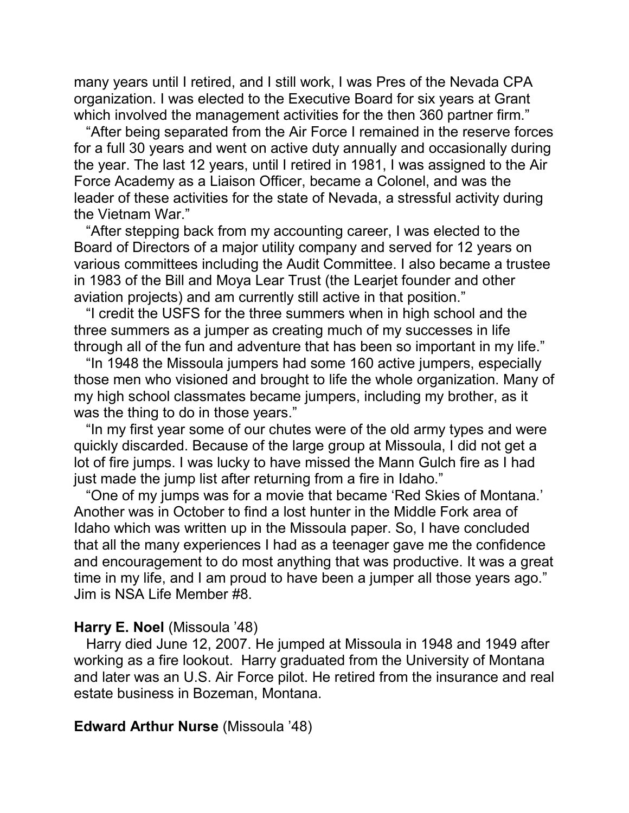many years until I retired, and I still work, I was Pres of the Nevada CPA organization. I was elected to the Executive Board for six years at Grant which involved the management activities for the then 360 partner firm."

 "After being separated from the Air Force I remained in the reserve forces for a full 30 years and went on active duty annually and occasionally during the year. The last 12 years, until I retired in 1981, I was assigned to the Air Force Academy as a Liaison Officer, became a Colonel, and was the leader of these activities for the state of Nevada, a stressful activity during the Vietnam War."

 "After stepping back from my accounting career, I was elected to the Board of Directors of a major utility company and served for 12 years on various committees including the Audit Committee. I also became a trustee in 1983 of the Bill and Moya Lear Trust (the Learjet founder and other aviation projects) and am currently still active in that position."

 "I credit the USFS for the three summers when in high school and the three summers as a jumper as creating much of my successes in life through all of the fun and adventure that has been so important in my life."

 "In 1948 the Missoula jumpers had some 160 active jumpers, especially those men who visioned and brought to life the whole organization. Many of my high school classmates became jumpers, including my brother, as it was the thing to do in those years."

 "In my first year some of our chutes were of the old army types and were quickly discarded. Because of the large group at Missoula, I did not get a lot of fire jumps. I was lucky to have missed the Mann Gulch fire as I had just made the jump list after returning from a fire in Idaho."

 "One of my jumps was for a movie that became 'Red Skies of Montana.' Another was in October to find a lost hunter in the Middle Fork area of Idaho which was written up in the Missoula paper. So, I have concluded that all the many experiences I had as a teenager gave me the confidence and encouragement to do most anything that was productive. It was a great time in my life, and I am proud to have been a jumper all those years ago." Jim is NSA Life Member #8.

#### **Harry E. Noel** (Missoula '48)

 Harry died June 12, 2007. He jumped at Missoula in 1948 and 1949 after working as a fire lookout. Harry graduated from the University of Montana and later was an U.S. Air Force pilot. He retired from the insurance and real estate business in Bozeman, Montana.

#### **Edward Arthur Nurse** (Missoula '48)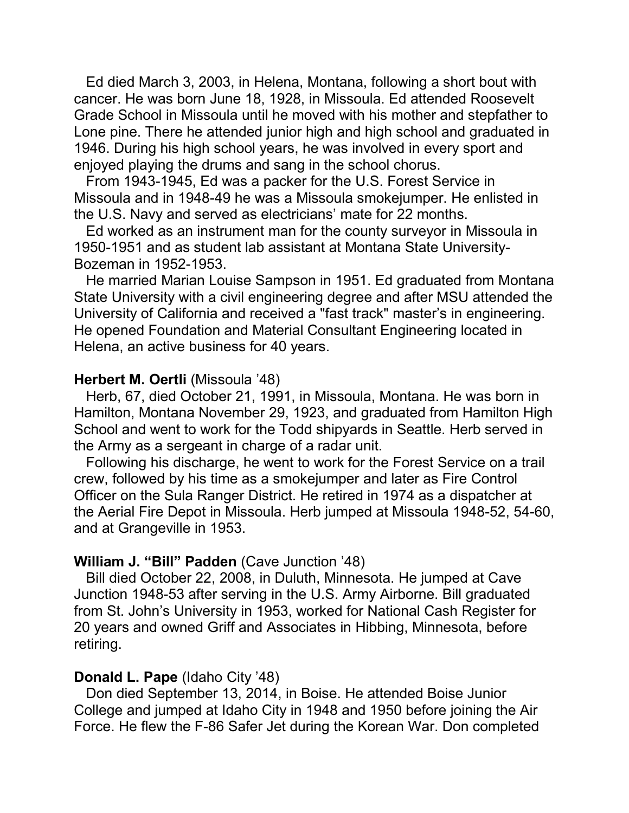Ed died March 3, 2003, in Helena, Montana, following a short bout with cancer. He was born June 18, 1928, in Missoula. Ed attended Roosevelt Grade School in Missoula until he moved with his mother and stepfather to Lone pine. There he attended junior high and high school and graduated in 1946. During his high school years, he was involved in every sport and enjoyed playing the drums and sang in the school chorus.

 From 1943-1945, Ed was a packer for the U.S. Forest Service in Missoula and in 1948-49 he was a Missoula smokejumper. He enlisted in the U.S. Navy and served as electricians' mate for 22 months.

 Ed worked as an instrument man for the county surveyor in Missoula in 1950-1951 and as student lab assistant at Montana State University-Bozeman in 1952-1953.

 He married Marian Louise Sampson in 1951. Ed graduated from Montana State University with a civil engineering degree and after MSU attended the University of California and received a "fast track" master's in engineering. He opened Foundation and Material Consultant Engineering located in Helena, an active business for 40 years.

#### **Herbert M. Oertli** (Missoula '48)

 Herb, 67, died October 21, 1991, in Missoula, Montana. He was born in Hamilton, Montana November 29, 1923, and graduated from Hamilton High School and went to work for the Todd shipyards in Seattle. Herb served in the Army as a sergeant in charge of a radar unit.

 Following his discharge, he went to work for the Forest Service on a trail crew, followed by his time as a smokejumper and later as Fire Control Officer on the Sula Ranger District. He retired in 1974 as a dispatcher at the Aerial Fire Depot in Missoula. Herb jumped at Missoula 1948-52, 54-60, and at Grangeville in 1953.

#### **William J. "Bill" Padden** (Cave Junction '48)

 Bill died October 22, 2008, in Duluth, Minnesota. He jumped at Cave Junction 1948-53 after serving in the U.S. Army Airborne. Bill graduated from St. John's University in 1953, worked for National Cash Register for 20 years and owned Griff and Associates in Hibbing, Minnesota, before retiring.

#### **Donald L. Pape** (Idaho City '48)

 Don died September 13, 2014, in Boise. He attended Boise Junior College and jumped at Idaho City in 1948 and 1950 before joining the Air Force. He flew the F-86 Safer Jet during the Korean War. Don completed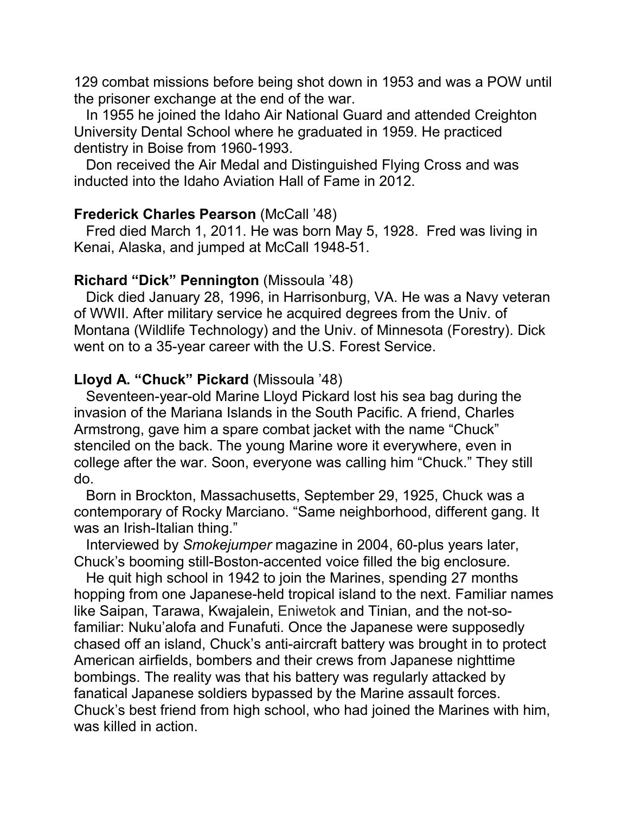129 combat missions before being shot down in 1953 and was a POW until the prisoner exchange at the end of the war.

 In 1955 he joined the Idaho Air National Guard and attended Creighton University Dental School where he graduated in 1959. He practiced dentistry in Boise from 1960-1993.

 Don received the Air Medal and Distinguished Flying Cross and was inducted into the Idaho Aviation Hall of Fame in 2012.

## **Frederick Charles Pearson (McCall '48)**

 Fred died March 1, 2011. He was born May 5, 1928. Fred was living in Kenai, Alaska, and jumped at McCall 1948-51.

### **Richard "Dick" Pennington** (Missoula '48)

 Dick died January 28, 1996, in Harrisonburg, VA. He was a Navy veteran of WWII. After military service he acquired degrees from the Univ. of Montana (Wildlife Technology) and the Univ. of Minnesota (Forestry). Dick went on to a 35-year career with the U.S. Forest Service.

# **Lloyd A. "Chuck" Pickard** (Missoula '48)

 Seventeen-year-old Marine Lloyd Pickard lost his sea bag during the invasion of the Mariana Islands in the South Pacific. A friend, Charles Armstrong, gave him a spare combat jacket with the name "Chuck" stenciled on the back. The young Marine wore it everywhere, even in college after the war. Soon, everyone was calling him "Chuck." They still do.

 Born in Brockton, Massachusetts, September 29, 1925, Chuck was a contemporary of Rocky Marciano. "Same neighborhood, different gang. It was an Irish-Italian thing."

 Interviewed by *Smokejumper* magazine in 2004, 60-plus years later, Chuck's booming still-Boston-accented voice filled the big enclosure.

 He quit high school in 1942 to join the Marines, spending 27 months hopping from one Japanese-held tropical island to the next. Familiar names like Saipan, Tarawa, Kwajalein, Eniwetok and Tinian, and the not-sofamiliar: Nuku'alofa and Funafuti. Once the Japanese were supposedly chased off an island, Chuck's anti-aircraft battery was brought in to protect American airfields, bombers and their crews from Japanese nighttime bombings. The reality was that his battery was regularly attacked by fanatical Japanese soldiers bypassed by the Marine assault forces. Chuck's best friend from high school, who had joined the Marines with him, was killed in action.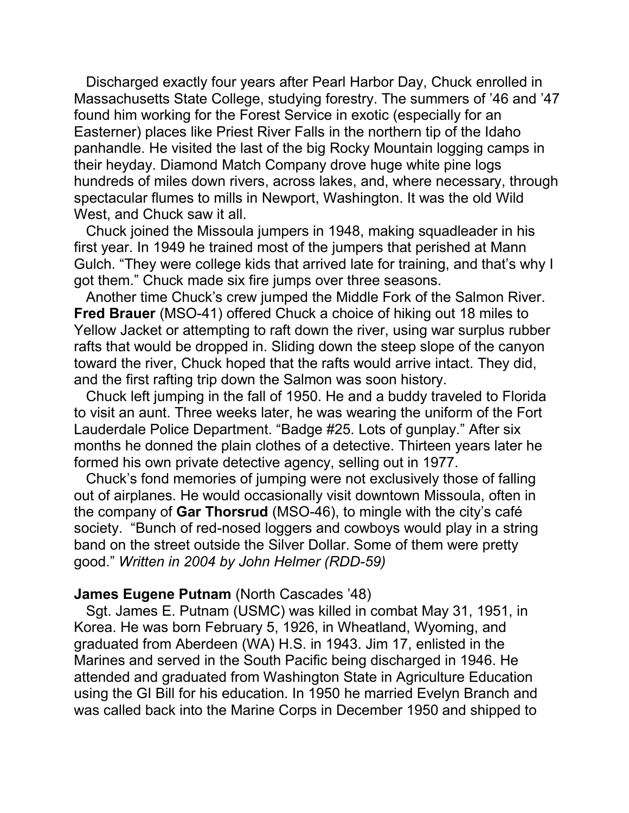Discharged exactly four years after Pearl Harbor Day, Chuck enrolled in Massachusetts State College, studying forestry. The summers of '46 and '47 found him working for the Forest Service in exotic (especially for an Easterner) places like Priest River Falls in the northern tip of the Idaho panhandle. He visited the last of the big Rocky Mountain logging camps in their heyday. Diamond Match Company drove huge white pine logs hundreds of miles down rivers, across lakes, and, where necessary, through spectacular flumes to mills in Newport, Washington. It was the old Wild West, and Chuck saw it all.

 Chuck joined the Missoula jumpers in 1948, making squadleader in his first year. In 1949 he trained most of the jumpers that perished at Mann Gulch. "They were college kids that arrived late for training, and that's why I got them." Chuck made six fire jumps over three seasons.

 Another time Chuck's crew jumped the Middle Fork of the Salmon River. **Fred Brauer** (MSO-41) offered Chuck a choice of hiking out 18 miles to Yellow Jacket or attempting to raft down the river, using war surplus rubber rafts that would be dropped in. Sliding down the steep slope of the canyon toward the river, Chuck hoped that the rafts would arrive intact. They did, and the first rafting trip down the Salmon was soon history.

 Chuck left jumping in the fall of 1950. He and a buddy traveled to Florida to visit an aunt. Three weeks later, he was wearing the uniform of the Fort Lauderdale Police Department. "Badge #25. Lots of gunplay." After six months he donned the plain clothes of a detective. Thirteen years later he formed his own private detective agency, selling out in 1977.

 Chuck's fond memories of jumping were not exclusively those of falling out of airplanes. He would occasionally visit downtown Missoula, often in the company of **Gar Thorsrud** (MSO-46), to mingle with the city's café society. "Bunch of red-nosed loggers and cowboys would play in a string band on the street outside the Silver Dollar. Some of them were pretty good." *Written in 2004 by John Helmer (RDD-59)*

#### **James Eugene Putnam** (North Cascades '48)

 Sgt. James E. Putnam (USMC) was killed in combat May 31, 1951, in Korea. He was born February 5, 1926, in Wheatland, Wyoming, and graduated from Aberdeen (WA) H.S. in 1943. Jim 17, enlisted in the Marines and served in the South Pacific being discharged in 1946. He attended and graduated from Washington State in Agriculture Education using the GI Bill for his education. In 1950 he married Evelyn Branch and was called back into the Marine Corps in December 1950 and shipped to